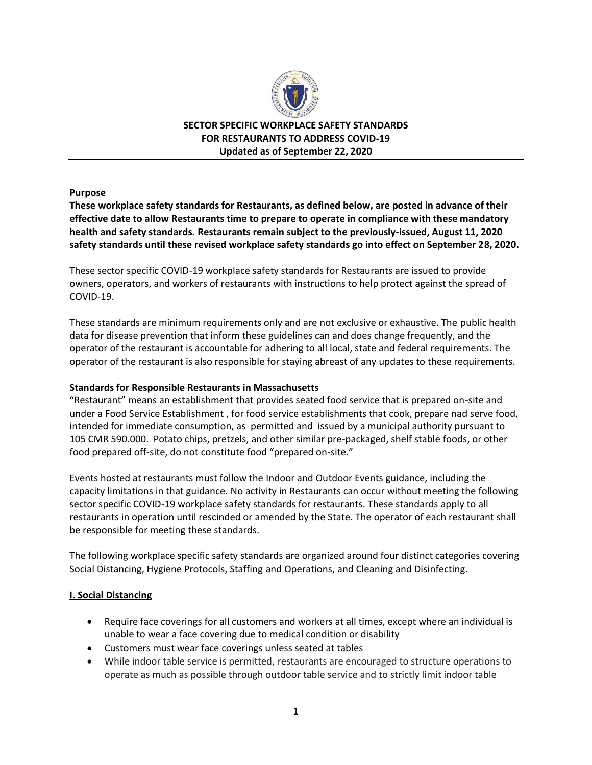

**SECTOR SPECIFIC WORKPLACE SAFETY STANDARDS FOR RESTAURANTS TO ADDRESS COVID-19 Updated as of September 22, 2020**

**Purpose**

**These workplace safety standards for Restaurants, as defined below, are posted in advance of their effective date to allow Restaurants time to prepare to operate in compliance with these mandatory health and safety standards. Restaurants remain subject to the previously-issued, August 11, 2020 safety standards until these revised workplace safety standards go into effect on September 28, 2020.** 

These sector specific COVID-19 workplace safety standards for Restaurants are issued to provide owners, operators, and workers of restaurants with instructions to help protect against the spread of COVID-19.

These standards are minimum requirements only and are not exclusive or exhaustive. The public health data for disease prevention that inform these guidelines can and does change frequently, and the operator of the restaurant is accountable for adhering to all local, state and federal requirements. The operator of the restaurant is also responsible for staying abreast of any updates to these requirements.

#### **Standards for Responsible Restaurants in Massachusetts**

"Restaurant" means an establishment that provides seated food service that is prepared on-site and under a Food Service Establishment , for food service establishments that cook, prepare nad serve food, intended for immediate consumption, as permitted and issued by a municipal authority pursuant to 105 CMR 590.000. Potato chips, pretzels, and other similar pre-packaged, shelf stable foods, or other food prepared off-site, do not constitute food "prepared on-site."

Events hosted at restaurants must follow the Indoor and Outdoor Events guidance, including the capacity limitations in that guidance. No activity in Restaurants can occur without meeting the following sector specific COVID-19 workplace safety standards for restaurants. These standards apply to all restaurants in operation until rescinded or amended by the State. The operator of each restaurant shall be responsible for meeting these standards.

The following workplace specific safety standards are organized around four distinct categories covering Social Distancing, Hygiene Protocols, Staffing and Operations, and Cleaning and Disinfecting.

#### **I. Social Distancing**

- Require face coverings for all customers and workers at all times, except where an individual is unable to wear a face covering due to medical condition or disability
- Customers must wear face coverings unless seated at tables
- While indoor table service is permitted, restaurants are encouraged to structure operations to operate as much as possible through outdoor table service and to strictly limit indoor table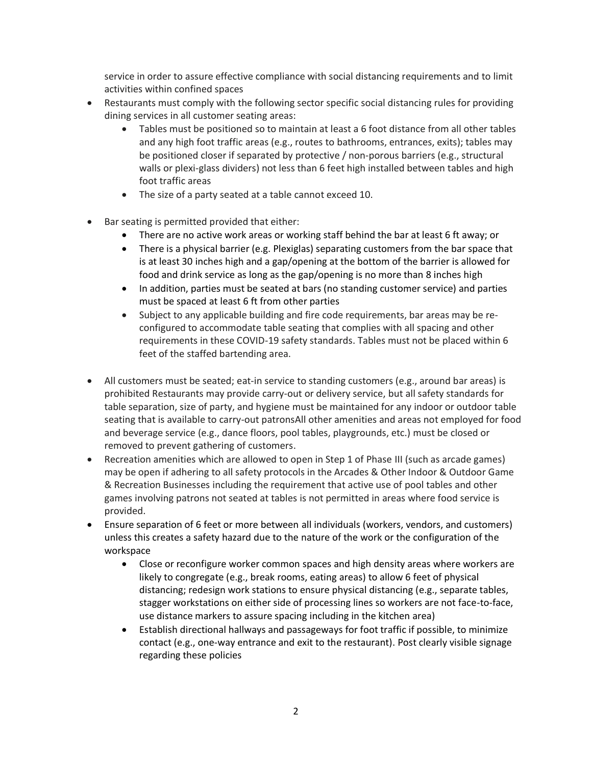service in order to assure effective compliance with social distancing requirements and to limit activities within confined spaces

- Restaurants must comply with the following sector specific social distancing rules for providing dining services in all customer seating areas:
	- Tables must be positioned so to maintain at least a 6 foot distance from all other tables and any high foot traffic areas (e.g., routes to bathrooms, entrances, exits); tables may be positioned closer if separated by protective / non-porous barriers (e.g., structural walls or plexi-glass dividers) not less than 6 feet high installed between tables and high foot traffic areas
	- The size of a party seated at a table cannot exceed 10.
- Bar seating is permitted provided that either:
	- There are no active work areas or working staff behind the bar at least 6 ft away; or
	- There is a physical barrier (e.g. Plexiglas) separating customers from the bar space that is at least 30 inches high and a gap/opening at the bottom of the barrier is allowed for food and drink service as long as the gap/opening is no more than 8 inches high
	- In addition, parties must be seated at bars (no standing customer service) and parties must be spaced at least 6 ft from other parties
	- Subject to any applicable building and fire code requirements, bar areas may be reconfigured to accommodate table seating that complies with all spacing and other requirements in these COVID-19 safety standards. Tables must not be placed within 6 feet of the staffed bartending area.
- All customers must be seated; eat-in service to standing customers (e.g., around bar areas) is prohibited Restaurants may provide carry-out or delivery service, but all safety standards for table separation, size of party, and hygiene must be maintained for any indoor or outdoor table seating that is available to carry-out patronsAll other amenities and areas not employed for food and beverage service (e.g., dance floors, pool tables, playgrounds, etc.) must be closed or removed to prevent gathering of customers.
- Recreation amenities which are allowed to open in Step 1 of Phase III (such as arcade games) may be open if adhering to all safety protocols in the Arcades & Other Indoor & Outdoor Game & Recreation Businesses including the requirement that active use of pool tables and other games involving patrons not seated at tables is not permitted in areas where food service is provided.
- Ensure separation of 6 feet or more between all individuals (workers, vendors, and customers) unless this creates a safety hazard due to the nature of the work or the configuration of the workspace
	- Close or reconfigure worker common spaces and high density areas where workers are likely to congregate (e.g., break rooms, eating areas) to allow 6 feet of physical distancing; redesign work stations to ensure physical distancing (e.g., separate tables, stagger workstations on either side of processing lines so workers are not face-to-face, use distance markers to assure spacing including in the kitchen area)
	- Establish directional hallways and passageways for foot traffic if possible, to minimize contact (e.g., one-way entrance and exit to the restaurant). Post clearly visible signage regarding these policies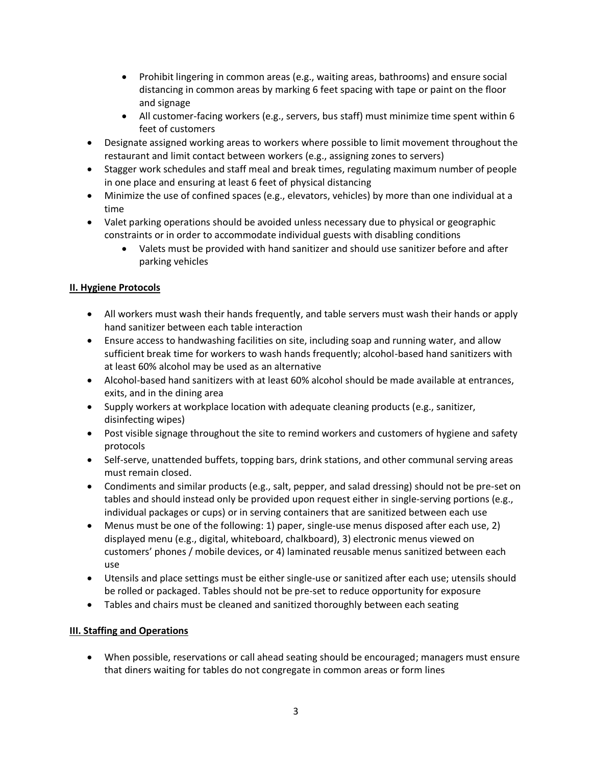- Prohibit lingering in common areas (e.g., waiting areas, bathrooms) and ensure social distancing in common areas by marking 6 feet spacing with tape or paint on the floor and signage
- All customer-facing workers (e.g., servers, bus staff) must minimize time spent within 6 feet of customers
- Designate assigned working areas to workers where possible to limit movement throughout the restaurant and limit contact between workers (e.g., assigning zones to servers)
- Stagger work schedules and staff meal and break times, regulating maximum number of people in one place and ensuring at least 6 feet of physical distancing
- Minimize the use of confined spaces (e.g., elevators, vehicles) by more than one individual at a time
- Valet parking operations should be avoided unless necessary due to physical or geographic constraints or in order to accommodate individual guests with disabling conditions
	- Valets must be provided with hand sanitizer and should use sanitizer before and after parking vehicles

# **II. Hygiene Protocols**

- All workers must wash their hands frequently, and table servers must wash their hands or apply hand sanitizer between each table interaction
- Ensure access to handwashing facilities on site, including soap and running water, and allow sufficient break time for workers to wash hands frequently; alcohol-based hand sanitizers with at least 60% alcohol may be used as an alternative
- Alcohol-based hand sanitizers with at least 60% alcohol should be made available at entrances, exits, and in the dining area
- Supply workers at workplace location with adequate cleaning products (e.g., sanitizer, disinfecting wipes)
- Post visible signage throughout the site to remind workers and customers of hygiene and safety protocols
- Self-serve, unattended buffets, topping bars, drink stations, and other communal serving areas must remain closed.
- Condiments and similar products (e.g., salt, pepper, and salad dressing) should not be pre-set on tables and should instead only be provided upon request either in single-serving portions (e.g., individual packages or cups) or in serving containers that are sanitized between each use
- Menus must be one of the following: 1) paper, single-use menus disposed after each use, 2) displayed menu (e.g., digital, whiteboard, chalkboard), 3) electronic menus viewed on customers' phones / mobile devices, or 4) laminated reusable menus sanitized between each use
- Utensils and place settings must be either single-use or sanitized after each use; utensils should be rolled or packaged. Tables should not be pre-set to reduce opportunity for exposure
- Tables and chairs must be cleaned and sanitized thoroughly between each seating

## **III. Staffing and Operations**

 When possible, reservations or call ahead seating should be encouraged; managers must ensure that diners waiting for tables do not congregate in common areas or form lines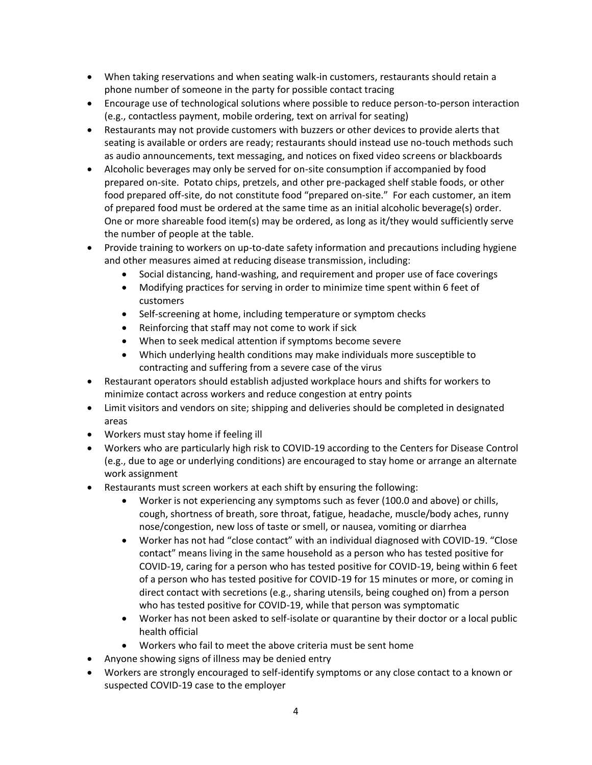- When taking reservations and when seating walk-in customers, restaurants should retain a phone number of someone in the party for possible contact tracing
- Encourage use of technological solutions where possible to reduce person-to-person interaction (e.g., contactless payment, mobile ordering, text on arrival for seating)
- Restaurants may not provide customers with buzzers or other devices to provide alerts that seating is available or orders are ready; restaurants should instead use no-touch methods such as audio announcements, text messaging, and notices on fixed video screens or blackboards
- Alcoholic beverages may only be served for on-site consumption if accompanied by food prepared on-site. Potato chips, pretzels, and other pre-packaged shelf stable foods, or other food prepared off-site, do not constitute food "prepared on-site." For each customer, an item of prepared food must be ordered at the same time as an initial alcoholic beverage(s) order. One or more shareable food item(s) may be ordered, as long as it/they would sufficiently serve the number of people at the table.
- Provide training to workers on up-to-date safety information and precautions including hygiene and other measures aimed at reducing disease transmission, including:
	- Social distancing, hand-washing, and requirement and proper use of face coverings
	- Modifying practices for serving in order to minimize time spent within 6 feet of customers
	- Self-screening at home, including temperature or symptom checks
	- Reinforcing that staff may not come to work if sick
	- When to seek medical attention if symptoms become severe
	- Which underlying health conditions may make individuals more susceptible to contracting and suffering from a severe case of the virus
- Restaurant operators should establish adjusted workplace hours and shifts for workers to minimize contact across workers and reduce congestion at entry points
- Limit visitors and vendors on site; shipping and deliveries should be completed in designated areas
- Workers must stay home if feeling ill
- Workers who are particularly high risk to COVID-19 according to the Centers for Disease Control (e.g., due to age or underlying conditions) are encouraged to stay home or arrange an alternate work assignment
- Restaurants must screen workers at each shift by ensuring the following:
	- Worker is not experiencing any symptoms such as fever (100.0 and above) or chills, cough, shortness of breath, sore throat, fatigue, headache, muscle/body aches, runny nose/congestion, new loss of taste or smell, or nausea, vomiting or diarrhea
	- Worker has not had "close contact" with an individual diagnosed with COVID-19. "Close contact" means living in the same household as a person who has tested positive for COVID-19, caring for a person who has tested positive for COVID-19, being within 6 feet of a person who has tested positive for COVID-19 for 15 minutes or more, or coming in direct contact with secretions (e.g., sharing utensils, being coughed on) from a person who has tested positive for COVID-19, while that person was symptomatic
	- Worker has not been asked to self-isolate or quarantine by their doctor or a local public health official
	- Workers who fail to meet the above criteria must be sent home
- Anyone showing signs of illness may be denied entry
- Workers are strongly encouraged to self-identify symptoms or any close contact to a known or suspected COVID-19 case to the employer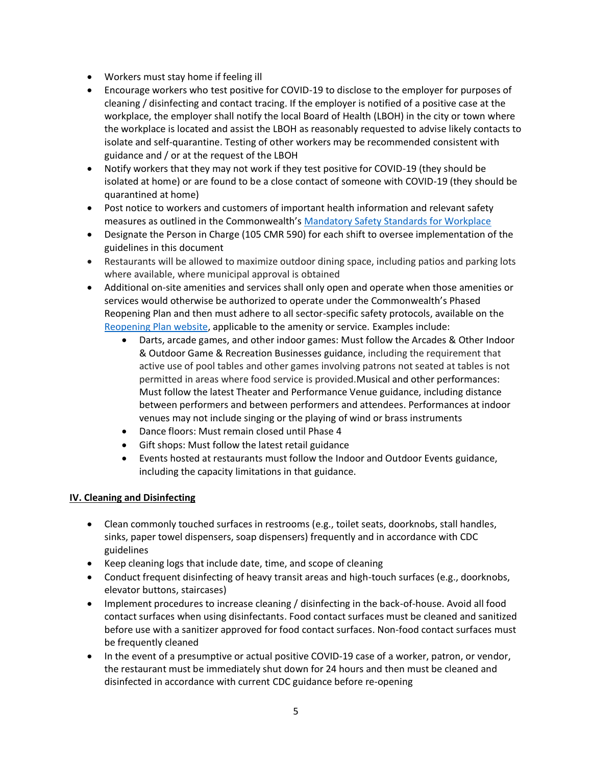- Workers must stay home if feeling ill
- Encourage workers who test positive for COVID-19 to disclose to the employer for purposes of cleaning / disinfecting and contact tracing. If the employer is notified of a positive case at the workplace, the employer shall notify the local Board of Health (LBOH) in the city or town where the workplace is located and assist the LBOH as reasonably requested to advise likely contacts to isolate and self-quarantine. Testing of other workers may be recommended consistent with guidance and / or at the request of the LBOH
- Notify workers that they may not work if they test positive for COVID-19 (they should be isolated at home) or are found to be a close contact of someone with COVID-19 (they should be quarantined at home)
- Post notice to workers and customers of important health information and relevant safety measures as outlined in the Commonwealth's [Mandatory Safety Standards for Workplace](https://www.mass.gov/info-details/reopening-mandatory-safety-standards-for-workplaces)
- Designate the Person in Charge (105 CMR 590) for each shift to oversee implementation of the guidelines in this document
- Restaurants will be allowed to maximize outdoor dining space, including patios and parking lots where available, where municipal approval is obtained
- Additional on-site amenities and services shall only open and operate when those amenities or services would otherwise be authorized to operate under the Commonwealth's Phased Reopening Plan and then must adhere to all sector-specific safety protocols, available on the [Reopening Plan website,](https://www.mass.gov/info-details/reopening-massachusetts) applicable to the amenity or service. Examples include:
	- Darts, arcade games, and other indoor games: Must follow the Arcades & Other Indoor & Outdoor Game & Recreation Businesses guidance, including the requirement that active use of pool tables and other games involving patrons not seated at tables is not permitted in areas where food service is provided.Musical and other performances: Must follow the latest Theater and Performance Venue guidance, including distance between performers and between performers and attendees. Performances at indoor venues may not include singing or the playing of wind or brass instruments
	- Dance floors: Must remain closed until Phase 4
	- Gift shops: Must follow the latest retail guidance
	- Events hosted at restaurants must follow the Indoor and Outdoor Events guidance, including the capacity limitations in that guidance.

## **IV. Cleaning and Disinfecting**

- Clean commonly touched surfaces in restrooms (e.g., toilet seats, doorknobs, stall handles, sinks, paper towel dispensers, soap dispensers) frequently and in accordance with CDC guidelines
- Keep cleaning logs that include date, time, and scope of cleaning
- Conduct frequent disinfecting of heavy transit areas and high-touch surfaces (e.g., doorknobs, elevator buttons, staircases)
- Implement procedures to increase cleaning / disinfecting in the back-of-house. Avoid all food contact surfaces when using disinfectants. Food contact surfaces must be cleaned and sanitized before use with a sanitizer approved for food contact surfaces. Non-food contact surfaces must be frequently cleaned
- In the event of a presumptive or actual positive COVID-19 case of a worker, patron, or vendor, the restaurant must be immediately shut down for 24 hours and then must be cleaned and disinfected in accordance with current CDC guidance before re-opening